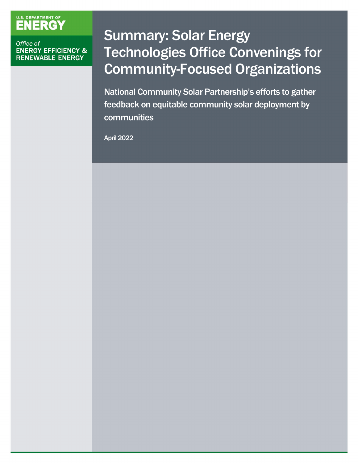# U.S. DEPARTMENT OF

#### Office of **ENERGY EFFICIENCY & RENEWABLE ENERGY**

## Summary: Solar Energy Technologies Office Convenings for Community-Focused Organizations

National Community Solar Partnership's efforts to gather feedback on equitable community solar deployment by communities

April 2022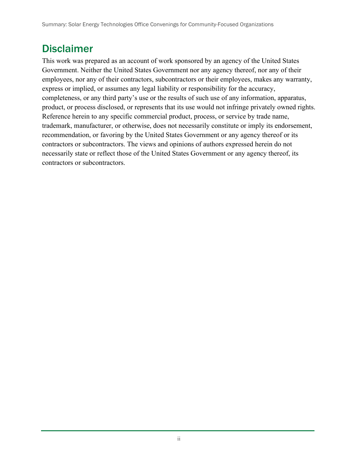### Disclaimer

This work was prepared as an account of work sponsored by an agency of the United States Government. Neither the United States Government nor any agency thereof, nor any of their employees, nor any of their contractors, subcontractors or their employees, makes any warranty, express or implied, or assumes any legal liability or responsibility for the accuracy, completeness, or any third party's use or the results of such use of any information, apparatus, product, or process disclosed, or represents that its use would not infringe privately owned rights. Reference herein to any specific commercial product, process, or service by trade name, trademark, manufacturer, or otherwise, does not necessarily constitute or imply its endorsement, recommendation, or favoring by the United States Government or any agency thereof or its contractors or subcontractors. The views and opinions of authors expressed herein do not necessarily state or reflect those of the United States Government or any agency thereof, its contractors or subcontractors.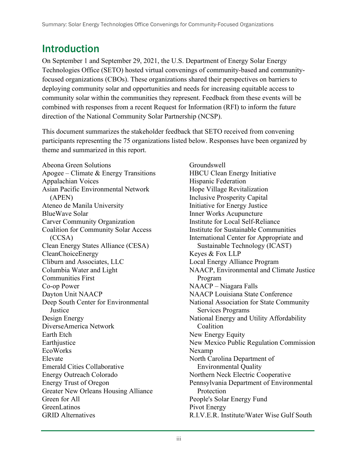## Introduction

On September 1 and September 29, 2021, the U.S. Department of Energy Solar Energy Technologies Office (SETO) hosted virtual convenings of community-based and communityfocused organizations (CBOs). These organizations shared their perspectives on barriers to deploying community solar and opportunities and needs for increasing equitable access to community solar within the communities they represent. Feedback from these events will be combined with responses from a recent Request for Information (RFI) to inform the future direction of the National Community Solar Partnership (NCSP).

This document summarizes the stakeholder feedback that SETO received from convening participants representing the 75 organizations listed below. Responses have been organized by theme and summarized in this report.

Abeona Green Solutions Apogee – Climate & Energy Transitions Appalachian Voices Asian Pacific Environmental Network (APEN) Ateneo de Manila University BlueWave Solar Carver Community Organization Coalition for Community Solar Access (CCSA) Clean Energy States Alliance (CESA) CleanChoiceEnergy Cliburn and Associates, LLC Columbia Water and Light Communities First Co-op Power Dayton Unit NAACP Deep South Center for Environmental **Justice** Design Energy DiverseAmerica Network Earth Etch **Earthjustice** EcoWorks Elevate Emerald Cities Collaborative Energy Outreach Colorado Energy Trust of Oregon Greater New Orleans Housing Alliance Green for All GreenLatinos GRID Alternatives

Groundswell HBCU Clean Energy Initiative Hispanic Federation Hope Village Revitalization Inclusive Prosperity Capital Initiative for Energy Justice Inner Works Acupuncture Institute for Local Self-Reliance Institute for Sustainable Communities International Center for Appropriate and Sustainable Technology (ICAST) Keyes & Fox LLP Local Energy Alliance Program NAACP, Environmental and Climate Justice Program NAACP – Niagara Falls NAACP Louisiana State Conference National Association for State Community Services Programs National Energy and Utility Affordability Coalition New Energy Equity New Mexico Public Regulation Commission Nexamp North Carolina Department of Environmental Quality Northern Neck Electric Cooperative Pennsylvania Department of Environmental Protection People's Solar Energy Fund Pivot Energy R.I.V.E.R. Institute/Water Wise Gulf South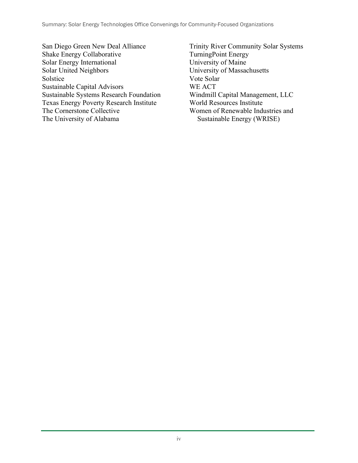San Diego Green New Deal Alliance Shake Energy Collaborative Solar Energy International Solar United Neighbors Solstice Sustainable Capital Advisors Sustainable Systems Research Foundation Texas Energy Poverty Research Institute The Cornerstone Collective The University of Alabama

Trinity River Community Solar Systems TurningPoint Energy University of Maine University of Massachusetts Vote Solar WE ACT Windmill Capital Management, LLC World Resources Institute Women of Renewable Industries and Sustainable Energy (WRISE)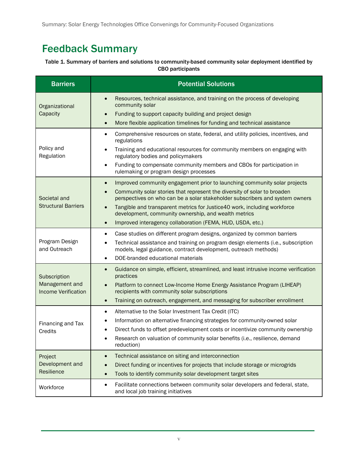Summary: Solar Energy Technologies Office Convenings for Community-Focused Organizations

## Feedback Summary

#### Table 1. Summary of barriers and solutions to community-based community solar deployment identified by CBO participants

| <b>Barriers</b>                                              | <b>Potential Solutions</b>                                                                                                                                                                                                                                                                                                                                                                                                                                                                  |
|--------------------------------------------------------------|---------------------------------------------------------------------------------------------------------------------------------------------------------------------------------------------------------------------------------------------------------------------------------------------------------------------------------------------------------------------------------------------------------------------------------------------------------------------------------------------|
| Organizational<br>Capacity                                   | Resources, technical assistance, and training on the process of developing<br>$\bullet$<br>community solar<br>Funding to support capacity building and project design<br>$\bullet$<br>More flexible application timelines for funding and technical assistance<br>$\bullet$                                                                                                                                                                                                                 |
| Policy and<br>Regulation                                     | Comprehensive resources on state, federal, and utility policies, incentives, and<br>$\bullet$<br>regulations<br>Training and educational resources for community members on engaging with<br>$\bullet$<br>regulatory bodies and policymakers<br>Funding to compensate community members and CBOs for participation in<br>$\bullet$<br>rulemaking or program design processes                                                                                                                |
| Societal and<br><b>Structural Barriers</b>                   | Improved community engagement prior to launching community solar projects<br>$\bullet$<br>Community solar stories that represent the diversity of solar to broaden<br>$\bullet$<br>perspectives on who can be a solar stakeholder subscribers and system owners<br>Tangible and transparent metrics for Justice40 work, including workforce<br>$\bullet$<br>development, community ownership, and wealth metrics<br>Improved interagency collaboration (FEMA, HUD, USDA, etc.)<br>$\bullet$ |
| Program Design<br>and Outreach                               | Case studies on different program designs, organized by common barriers<br>$\bullet$<br>Technical assistance and training on program design elements (i.e., subscription<br>$\bullet$<br>models, legal guidance, contract development, outreach methods)<br>DOE-branded educational materials<br>$\bullet$                                                                                                                                                                                  |
| Subscription<br>Management and<br><b>Income Verification</b> | Guidance on simple, efficient, streamlined, and least intrusive income verification<br>$\bullet$<br>practices<br>Platform to connect Low-Income Home Energy Assistance Program (LIHEAP)<br>$\bullet$<br>recipients with community solar subscriptions<br>Training on outreach, engagement, and messaging for subscriber enrollment<br>$\bullet$                                                                                                                                             |
| Financing and Tax<br>Credits                                 | Alternative to the Solar Investment Tax Credit (ITC)<br>$\bullet$<br>Information on alternative financing strategies for community-owned solar<br>$\bullet$<br>Direct funds to offset predevelopment costs or incentivize community ownership<br>$\bullet$<br>Research on valuation of community solar benefits (i.e., resilience, demand<br>reduction)                                                                                                                                     |
| Project<br>Development and<br>Resilience                     | Technical assistance on siting and interconnection<br>$\bullet$<br>Direct funding or incentives for projects that include storage or microgrids<br>$\bullet$<br>Tools to identify community solar development target sites<br>$\bullet$                                                                                                                                                                                                                                                     |
| Workforce                                                    | Facilitate connections between community solar developers and federal, state,<br>$\bullet$<br>and local job training initiatives                                                                                                                                                                                                                                                                                                                                                            |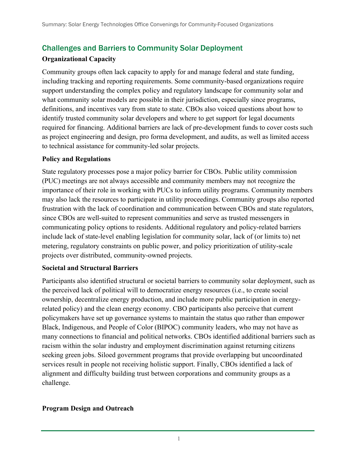#### Challenges and Barriers to Community Solar Deployment

#### **Organizational Capacity**

Community groups often lack capacity to apply for and manage federal and state funding, including tracking and reporting requirements. Some community-based organizations require support understanding the complex policy and regulatory landscape for community solar and what community solar models are possible in their jurisdiction, especially since programs, definitions, and incentives vary from state to state. CBOs also voiced questions about how to identify trusted community solar developers and where to get support for legal documents required for financing. Additional barriers are lack of pre-development funds to cover costs such as project engineering and design, pro forma development, and audits, as well as limited access to technical assistance for community-led solar projects.

#### **Policy and Regulations**

State regulatory processes pose a major policy barrier for CBOs. Public utility commission (PUC) meetings are not always accessible and community members may not recognize the importance of their role in working with PUCs to inform utility programs. Community members may also lack the resources to participate in utility proceedings. Community groups also reported frustration with the lack of coordination and communication between CBOs and state regulators, since CBOs are well-suited to represent communities and serve as trusted messengers in communicating policy options to residents. Additional regulatory and policy-related barriers include lack of state-level enabling legislation for community solar, lack of (or limits to) net metering, regulatory constraints on public power, and policy prioritization of utility-scale projects over distributed, community-owned projects.

#### **Societal and Structural Barriers**

Participants also identified structural or societal barriers to community solar deployment, such as the perceived lack of political will to democratize energy resources (i.e., to create social ownership, decentralize energy production, and include more public participation in energyrelated policy) and the clean energy economy. CBO participants also perceive that current policymakers have set up governance systems to maintain the status quo rather than empower Black, Indigenous, and People of Color (BIPOC) community leaders, who may not have as many connections to financial and political networks. CBOs identified additional barriers such as racism within the solar industry and employment discrimination against returning citizens seeking green jobs. Siloed government programs that provide overlapping but uncoordinated services result in people not receiving holistic support. Finally, CBOs identified a lack of alignment and difficulty building trust between corporations and community groups as a challenge.

#### **Program Design and Outreach**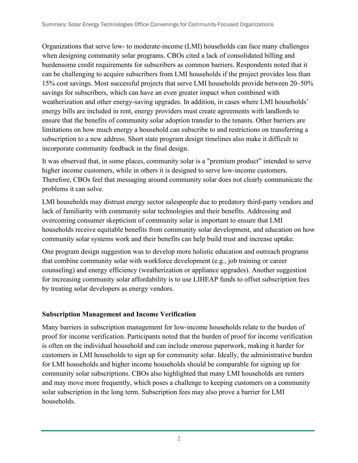Organizations that serve low- to moderate-income (LMI) households can face many challenges when designing community solar programs. CBOs cited a lack of consolidated billing and burdensome credit requirements for subscribers as common barriers. Respondents noted that it can be challenging to acquire subscribers from LMI households if the project provides less than 15% cost savings. Most successful projects that serve LMI households provide between 20–50% savings for subscribers, which can have an even greater impact when combined with weatherization and other energy-saving upgrades. In addition, in cases where LMI households' energy bills are included in rent, energy providers must create agreements with landlords to ensure that the benefits of community solar adoption transfer to the tenants. Other barriers are limitations on how much energy a household can subscribe to and restrictions on transferring a subscription to a new address. Short state program design timelines also make it difficult to incorporate community feedback in the final design.

It was observed that, in some places, community solar is a "premium product" intended to serve higher income customers, while in others it is designed to serve low-income customers. Therefore, CBOs feel that messaging around community solar does not clearly communicate the problems it can solve.

LMI households may distrust energy sector salespeople due to predatory third-party vendors and lack of familiarity with community solar technologies and their benefits. Addressing and overcoming consumer skepticism of community solar is important to ensure that LMI households receive equitable benefits from community solar development, and education on how community solar systems work and their benefits can help build trust and increase uptake.

One program design suggestion was to develop more holistic education and outreach programs that combine community solar with workforce development (e.g., job training or career counseling) and energy efficiency (weatherization or appliance upgrades). Another suggestion for increasing community solar affordability is to use LIHEAP funds to offset subscription fees by treating solar developers as energy vendors.

#### **Subscription Management and Income Verification**

Many barriers in subscription management for low-income households relate to the burden of proof for income verification. Participants noted that the burden of proof for income verification is often on the individual household and can include onerous paperwork, making it harder for customers in LMI households to sign up for community solar. Ideally, the administrative burden for LMI households and higher income households should be comparable for signing up for community solar subscriptions. CBOs also highlighted that many LMI households are renters and may move more frequently, which poses a challenge to keeping customers on a community solar subscription in the long term. Subscription fees may also prove a barrier for LMI households.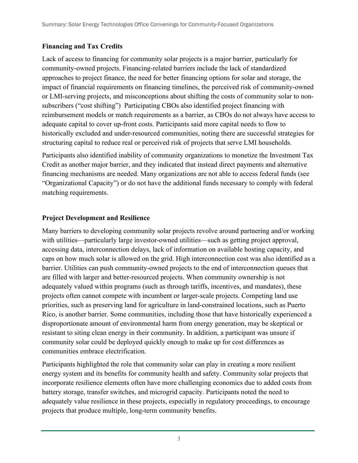#### **Financing and Tax Credits**

Lack of access to financing for community solar projects is a major barrier, particularly for community-owned projects. Financing-related barriers include the lack of standardized approaches to project finance, the need for better financing options for solar and storage, the impact of financial requirements on financing timelines, the perceived risk of community-owned or LMI-serving projects, and misconceptions about shifting the costs of community solar to nonsubscribers ("cost shifting") Participating CBOs also identified project financing with reimbursement models or match requirements as a barrier, as CBOs do not always have access to adequate capital to cover up-front costs. Participants said more capital needs to flow to historically excluded and under-resourced communities, noting there are successful strategies for structuring capital to reduce real or perceived risk of projects that serve LMI households.

Participants also identified inability of community organizations to monetize the Investment Tax Credit as another major barrier, and they indicated that instead direct payments and alternative financing mechanisms are needed. Many organizations are not able to access federal funds (see "Organizational Capacity") or do not have the additional funds necessary to comply with federal matching requirements.

#### **Project Development and Resilience**

Many barriers to developing community solar projects revolve around partnering and/or working with utilities—particularly large investor-owned utilities—such as getting project approval, accessing data, interconnection delays, lack of information on available hosting capacity, and caps on how much solar is allowed on the grid. High interconnection cost was also identified as a barrier. Utilities can push community-owned projects to the end of interconnection queues that are filled with larger and better-resourced projects. When community ownership is not adequately valued within programs (such as through tariffs, incentives, and mandates), these projects often cannot compete with incumbent or larger-scale projects. Competing land use priorities, such as preserving land for agriculture in land-constrained locations, such as Puerto Rico, is another barrier. Some communities, including those that have historically experienced a disproportionate amount of environmental harm from energy generation, may be skeptical or resistant to siting clean energy in their community. In addition, a participant was unsure if community solar could be deployed quickly enough to make up for cost differences as communities embrace electrification.

Participants highlighted the role that community solar can play in creating a more resilient energy system and its benefits for community health and safety. Community solar projects that incorporate resilience elements often have more challenging economics due to added costs from battery storage, transfer switches, and microgrid capacity. Participants noted the need to adequately value resilience in these projects, especially in regulatory proceedings, to encourage projects that produce multiple, long-term community benefits.

<sup>3</sup>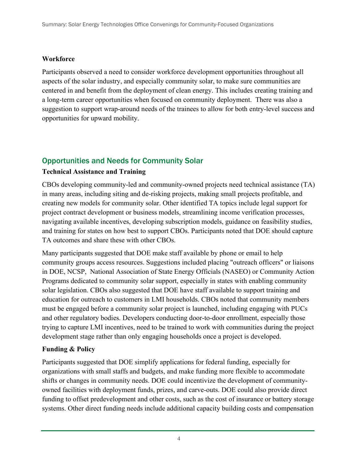#### **Workforce**

Participants observed a need to consider workforce development opportunities throughout all aspects of the solar industry, and especially community solar, to make sure communities are centered in and benefit from the deployment of clean energy. This includes creating training and a long-term career opportunities when focused on community deployment. There was also a suggestion to support wrap-around needs of the trainees to allow for both entry-level success and opportunities for upward mobility.

#### Opportunities and Needs for Community Solar

#### **Technical Assistance and Training**

CBOs developing community-led and community-owned projects need technical assistance (TA) in many areas, including siting and de-risking projects, making small projects profitable, and creating new models for community solar. Other identified TA topics include legal support for project contract development or business models, streamlining income verification processes, navigating available incentives, developing subscription models, guidance on feasibility studies, and training for states on how best to support CBOs. Participants noted that DOE should capture TA outcomes and share these with other CBOs.

Many participants suggested that DOE make staff available by phone or email to help community groups access resources. Suggestions included placing "outreach officers" or liaisons in DOE, NCSP, National Association of State Energy Officials (NASEO) or Community Action Programs dedicated to community solar support, especially in states with enabling community solar legislation. CBOs also suggested that DOE have staff available to support training and education for outreach to customers in LMI households. CBOs noted that community members must be engaged before a community solar project is launched, including engaging with PUCs and other regulatory bodies. Developers conducting door-to-door enrollment, especially those trying to capture LMI incentives, need to be trained to work with communities during the project development stage rather than only engaging households once a project is developed.

#### **Funding & Policy**

Participants suggested that DOE simplify applications for federal funding, especially for organizations with small staffs and budgets, and make funding more flexible to accommodate shifts or changes in community needs. DOE could incentivize the development of communityowned facilities with deployment funds, prizes, and carve-outs. DOE could also provide direct funding to offset predevelopment and other costs, such as the cost of insurance or battery storage systems. Other direct funding needs include additional capacity building costs and compensation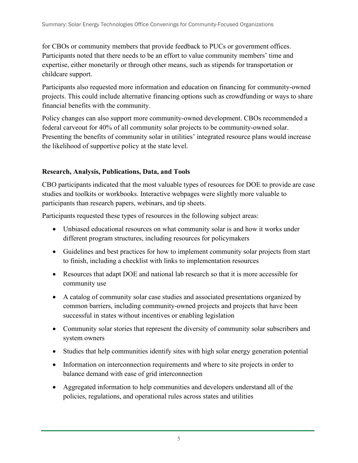for CBOs or community members that provide feedback to PUCs or government offices. Participants noted that there needs to be an effort to value community members' time and expertise, either monetarily or through other means, such as stipends for transportation or childcare support.

Participants also requested more information and education on financing for community-owned projects. This could include alternative financing options such as crowdfunding or ways to share financial benefits with the community.

Policy changes can also support more community-owned development. CBOs recommended a federal carveout for 40% of all community solar projects to be community-owned solar. Presenting the benefits of community solar in utilities' integrated resource plans would increase the likelihood of supportive policy at the state level.

#### **Research, Analysis, Publications, Data, and Tools**

CBO participants indicated that the most valuable types of resources for DOE to provide are case studies and toolkits or workbooks. Interactive webpages were slightly more valuable to participants than research papers, webinars, and tip sheets.

Participants requested these types of resources in the following subject areas:

- Unbiased educational resources on what community solar is and how it works under different program structures, including resources for policymakers
- Guidelines and best practices for how to implement community solar projects from start to finish, including a checklist with links to implementation resources
- Resources that adapt DOE and national lab research so that it is more accessible for community use
- A catalog of community solar case studies and associated presentations organized by common barriers, including community-owned projects and projects that have been successful in states without incentives or enabling legislation
- Community solar stories that represent the diversity of community solar subscribers and system owners
- Studies that help communities identify sites with high solar energy generation potential
- Information on interconnection requirements and where to site projects in order to balance demand with ease of grid interconnection
- Aggregated information to help communities and developers understand all of the policies, regulations, and operational rules across states and utilities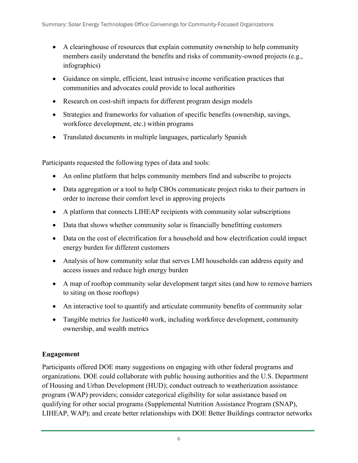- A clearinghouse of resources that explain community ownership to help community members easily understand the benefits and risks of community-owned projects (e.g., infographics)
- Guidance on simple, efficient, least intrusive income verification practices that communities and advocates could provide to local authorities
- Research on cost-shift impacts for different program design models
- Strategies and frameworks for valuation of specific benefits (ownership, savings, workforce development, etc.) within programs
- Translated documents in multiple languages, particularly Spanish

Participants requested the following types of data and tools:

- An online platform that helps community members find and subscribe to projects
- Data aggregation or a tool to help CBOs communicate project risks to their partners in order to increase their comfort level in approving projects
- A platform that connects LIHEAP recipients with community solar subscriptions
- Data that shows whether community solar is financially benefitting customers
- Data on the cost of electrification for a household and how electrification could impact energy burden for different customers
- Analysis of how community solar that serves LMI households can address equity and access issues and reduce high energy burden
- A map of rooftop community solar development target sites (and how to remove barriers to siting on those rooftops)
- An interactive tool to quantify and articulate community benefits of community solar
- Tangible metrics for Justice40 work, including workforce development, community ownership, and wealth metrics

#### **Engagement**

Participants offered DOE many suggestions on engaging with other federal programs and organizations. DOE could collaborate with public housing authorities and the U.S. Department of Housing and Urban Development (HUD); conduct outreach to weatherization assistance program (WAP) providers; consider categorical eligibility for solar assistance based on qualifying for other social programs (Supplemental Nutrition Assistance Program (SNAP), LIHEAP, WAP); and create better relationships with DOE Better Buildings contractor networks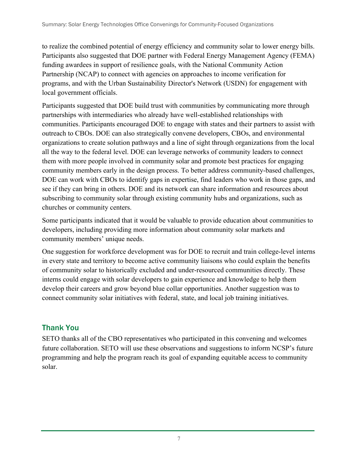to realize the combined potential of energy efficiency and community solar to lower energy bills. Participants also suggested that DOE partner with Federal Energy Management Agency (FEMA) funding awardees in support of resilience goals, with the National Community Action Partnership (NCAP) to connect with agencies on approaches to income verification for programs, and with the Urban Sustainability Director's Network (USDN) for engagement with local government officials.

Participants suggested that DOE build trust with communities by communicating more through partnerships with intermediaries who already have well-established relationships with communities. Participants encouraged DOE to engage with states and their partners to assist with outreach to CBOs. DOE can also strategically convene developers, CBOs, and environmental organizations to create solution pathways and a line of sight through organizations from the local all the way to the federal level. DOE can leverage networks of community leaders to connect them with more people involved in community solar and promote best practices for engaging community members early in the design process. To better address community-based challenges, DOE can work with CBOs to identify gaps in expertise, find leaders who work in those gaps, and see if they can bring in others. DOE and its network can share information and resources about subscribing to community solar through existing community hubs and organizations, such as churches or community centers.

Some participants indicated that it would be valuable to provide education about communities to developers, including providing more information about community solar markets and community members' unique needs.

One suggestion for workforce development was for DOE to recruit and train college-level interns in every state and territory to become active community liaisons who could explain the benefits of community solar to historically excluded and under-resourced communities directly. These interns could engage with solar developers to gain experience and knowledge to help them develop their careers and grow beyond blue collar opportunities. Another suggestion was to connect community solar initiatives with federal, state, and local job training initiatives.

#### Thank You

SETO thanks all of the CBO representatives who participated in this convening and welcomes future collaboration. SETO will use these observations and suggestions to inform NCSP's future programming and help the program reach its goal of expanding equitable access to community solar.